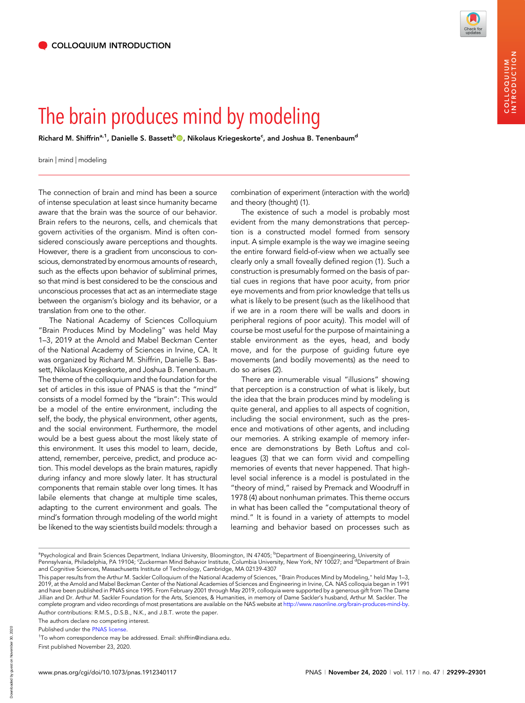COLLOQUIUM INTRODUCTION

COLLOQUIUM<br>INTRODUCTION

## The brain produces mind by modeling

Richard M. Shiffrin<sup>a,1</sup>, Danielle S. Bassett<sup>b</sup> (D, Nikolaus Kriegeskorte<sup>c</sup>, and Joshua B. Tenenbaum<sup>d</sup>

brain | mind | modeling

The connection of brain and mind has been a source of intense speculation at least since humanity became aware that the brain was the source of our behavior. Brain refers to the neurons, cells, and chemicals that govern activities of the organism. Mind is often considered consciously aware perceptions and thoughts. However, there is a gradient from unconscious to conscious, demonstrated by enormous amounts of research, such as the effects upon behavior of subliminal primes, so that mind is best considered to be the conscious and unconscious processes that act as an intermediate stage between the organism's biology and its behavior, or a translation from one to the other.

The National Academy of Sciences Colloquium "Brain Produces Mind by Modeling" was held May 1–3, 2019 at the Arnold and Mabel Beckman Center of the National Academy of Sciences in Irvine, CA. It was organized by Richard M. Shiffrin, Danielle S. Bassett, Nikolaus Kriegeskorte, and Joshua B. Tenenbaum. The theme of the colloquium and the foundation for the set of articles in this issue of PNAS is that the "mind" consists of a model formed by the "brain": This would be a model of the entire environment, including the self, the body, the physical environment, other agents, and the social environment. Furthermore, the model would be a best guess about the most likely state of this environment. It uses this model to learn, decide, attend, remember, perceive, predict, and produce action. This model develops as the brain matures, rapidly during infancy and more slowly later. It has structural components that remain stable over long times. It has labile elements that change at multiple time scales, adapting to the current environment and goals. The mind's formation through modeling of the world might be likened to the way scientists build models: through a

combination of experiment (interaction with the world) and theory (thought) (1).

The existence of such a model is probably most evident from the many demonstrations that perception is a constructed model formed from sensory input. A simple example is the way we imagine seeing the entire forward field-of-view when we actually see clearly only a small foveally defined region (1). Such a construction is presumably formed on the basis of partial cues in regions that have poor acuity, from prior eye movements and from prior knowledge that tells us what is likely to be present (such as the likelihood that if we are in a room there will be walls and doors in peripheral regions of poor acuity). This model will of course be most useful for the purpose of maintaining a stable environment as the eyes, head, and body move, and for the purpose of guiding future eye movements (and bodily movements) as the need to do so arises (2).

There are innumerable visual "illusions" showing that perception is a construction of what is likely, but the idea that the brain produces mind by modeling is quite general, and applies to all aspects of cognition, including the social environment, such as the presence and motivations of other agents, and including our memories. A striking example of memory inference are demonstrations by Beth Loftus and colleagues (3) that we can form vivid and compelling memories of events that never happened. That highlevel social inference is a model is postulated in the "theory of mind," raised by Premack and Woodruff in 1978 (4) about nonhuman primates. This theme occurs in what has been called the "computational theory of mind." It is found in a variety of attempts to model learning and behavior based on processes such as

<sup>&</sup>lt;sup>a</sup>Psychological and Brain Sciences Department, Indiana University, Bloomington, IN 47405; <sup>b</sup>Department of Bioengineering, University of Pennsylvania, Philadelphia, PA 19104; <sup>c</sup>Zuckerman Mind Behavior Institute, Columbia University, New York, NY 10027; and <sup>d</sup>Department of Brain and Cognitive Sciences, Massachusetts Institute of Technology, Cambridge, MA 02139-4307

This paper results from the Arthur M. Sackler Colloquium of the National Academy of Sciences, "Brain Produces Mind by Modeling," held May 1–3, 2019, at the Arnold and Mabel Beckman Center of the National Academies of Sciences and Engineering in Irvine, CA. NAS colloquia began in 1991 and have been published in PNAS since 1995. From February 2001 through May 2019, colloquia were supported by a generous gift from The Dame Jillian and Dr. Arthur M. Sackler Foundation for the Arts, Sciences, & Humanities, in memory of Dame Sackler's husband, Arthur M. Sackler. The complete program and video recordings of most presentations are available on the NAS website at [http://www.nasonline.org/brain-produces-mind-by.](http://www.nasonline.org/brain-produces-mind-by) Author contributions: R.M.S., D.S.B., N.K., and J.B.T. wrote the paper.

The authors declare no competing interest.

Published under the [PNAS license.](https://www.pnas.org/site/aboutpnas/licenses.xhtml)

<sup>&</sup>lt;sup>1</sup>To whom correspondence may be addressed. Email: [shiffrin@indiana.edu.](mailto:shiffrin@indiana.edu)

First published November 23, 2020.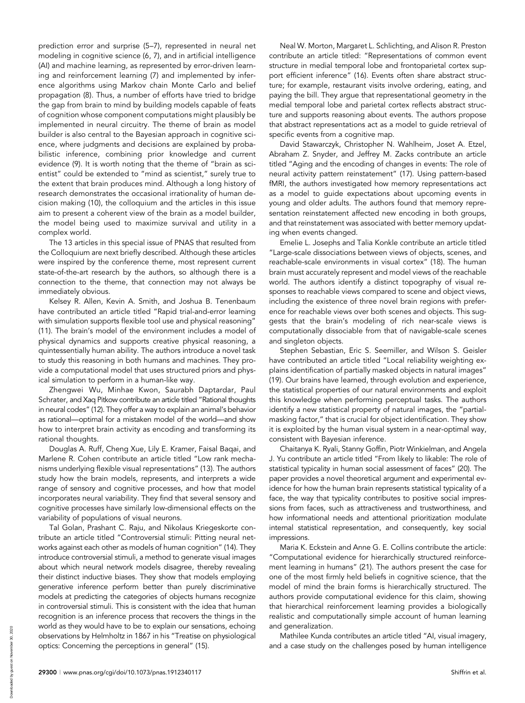prediction error and surprise (5–7), represented in neural net modeling in cognitive science (6, 7), and in artificial intelligence (AI) and machine learning, as represented by error-driven learning and reinforcement learning (7) and implemented by inference algorithms using Markov chain Monte Carlo and belief propagation (8). Thus, a number of efforts have tried to bridge the gap from brain to mind by building models capable of feats of cognition whose component computations might plausibly be implemented in neural circuitry. The theme of brain as model builder is also central to the Bayesian approach in cognitive science, where judgments and decisions are explained by probabilistic inference, combining prior knowledge and current evidence (9). It is worth noting that the theme of "brain as scientist" could be extended to "mind as scientist," surely true to the extent that brain produces mind. Although a long history of research demonstrates the occasional irrationality of human decision making (10), the colloquium and the articles in this issue aim to present a coherent view of the brain as a model builder, the model being used to maximize survival and utility in a complex world.

The 13 articles in this special issue of PNAS that resulted from the Colloquium are next briefly described. Although these articles were inspired by the conference theme, most represent current state-of-the-art research by the authors, so although there is a connection to the theme, that connection may not always be immediately obvious.

Kelsey R. Allen, Kevin A. Smith, and Joshua B. Tenenbaum have contributed an article titled "Rapid trial-and-error learning with simulation supports flexible tool use and physical reasoning" (11). The brain's model of the environment includes a model of physical dynamics and supports creative physical reasoning, a quintessentially human ability. The authors introduce a novel task to study this reasoning in both humans and machines. They provide a computational model that uses structured priors and physical simulation to perform in a human-like way.

Zhengwei Wu, Minhae Kwon, Saurabh Daptardar, Paul Schrater, and Xaq Pitkow contribute an article titled "Rational thoughts in neural codes" (12). They offer a way to explain an animal's behavior as rational—optimal for a mistaken model of the world—and show how to interpret brain activity as encoding and transforming its rational thoughts.

Douglas A. Ruff, Cheng Xue, Lily E. Kramer, Faisal Baqai, and Marlene R. Cohen contribute an article titled "Low rank mechanisms underlying flexible visual representations" (13). The authors study how the brain models, represents, and interprets a wide range of sensory and cognitive processes, and how that model incorporates neural variability. They find that several sensory and cognitive processes have similarly low-dimensional effects on the variability of populations of visual neurons.

Tal Golan, Prashant C. Raju, and Nikolaus Kriegeskorte contribute an article titled "Controversial stimuli: Pitting neural networks against each other as models of human cognition" (14). They introduce controversial stimuli, a method to generate visual images about which neural network models disagree, thereby revealing their distinct inductive biases. They show that models employing generative inference perform better than purely discriminative models at predicting the categories of objects humans recognize in controversial stimuli. This is consistent with the idea that human recognition is an inference process that recovers the things in the world as they would have to be to explain our sensations, echoing observations by Helmholtz in 1867 in his "Treatise on physiological optics: Concerning the perceptions in general" (15).

Neal W. Morton, Margaret L. Schlichting, and Alison R. Preston contribute an article titled: "Representations of common event structure in medial temporal lobe and frontoparietal cortex support efficient inference" (16). Events often share abstract structure; for example, restaurant visits involve ordering, eating, and paying the bill. They argue that representational geometry in the medial temporal lobe and parietal cortex reflects abstract structure and supports reasoning about events. The authors propose that abstract representations act as a model to guide retrieval of specific events from a cognitive map.

David Stawarczyk, Christopher N. Wahlheim, Joset A. Etzel, Abraham Z. Snyder, and Jeffrey M. Zacks contribute an article titled "Aging and the encoding of changes in events: The role of neural activity pattern reinstatement" (17). Using pattern-based fMRI, the authors investigated how memory representations act as a model to guide expectations about upcoming events in young and older adults. The authors found that memory representation reinstatement affected new encoding in both groups, and that reinstatement was associated with better memory updating when events changed.

Emelie L. Josephs and Talia Konkle contribute an article titled "Large-scale dissociations between views of objects, scenes, and reachable-scale environments in visual cortex" (18). The human brain must accurately represent and model views of the reachable world. The authors identify a distinct topography of visual responses to reachable views compared to scene and object views, including the existence of three novel brain regions with preference for reachable views over both scenes and objects. This suggests that the brain's modeling of rich near-scale views is computationally dissociable from that of navigable-scale scenes and singleton objects.

Stephen Sebastian, Eric S. Seemiller, and Wilson S. Geisler have contributed an article titled "Local reliability weighting explains identification of partially masked objects in natural images" (19). Our brains have learned, through evolution and experience, the statistical properties of our natural environments and exploit this knowledge when performing perceptual tasks. The authors identify a new statistical property of natural images, the "partialmasking factor," that is crucial for object identification. They show it is exploited by the human visual system in a near-optimal way, consistent with Bayesian inference.

Chaitanya K. Ryali, Stanny Goffin, Piotr Winkielman, and Angela J. Yu contribute an article titled "From likely to likable: The role of statistical typicality in human social assessment of faces" (20). The paper provides a novel theoretical argument and experimental evidence for how the human brain represents statistical typicality of a face, the way that typicality contributes to positive social impressions from faces, such as attractiveness and trustworthiness, and how informational needs and attentional prioritization modulate internal statistical representation, and consequently, key social impressions.

Maria K. Eckstein and Anne G. E. Collins contribute the article: "Computational evidence for hierarchically structured reinforcement learning in humans" (21). The authors present the case for one of the most firmly held beliefs in cognitive science, that the model of mind the brain forms is hierarchically structured. The authors provide computational evidence for this claim, showing that hierarchical reinforcement learning provides a biologically realistic and computationally simple account of human learning and generalization.

Mathilee Kunda contributes an article titled "AI, visual imagery, and a case study on the challenges posed by human intelligence